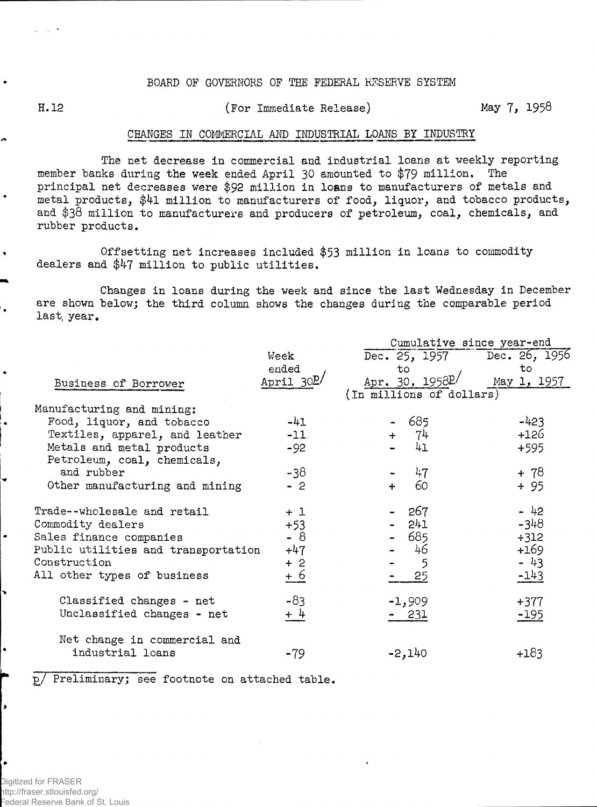## BOARD OF GOVERNORS OF THE FEDERAL RESERVE SYSTEM

 $\bullet$ 

## H. 12 (For Immediate Release) May 7, 1958

## CHANGES IN COMMERCIAL AND INDUSTRIAL LOANS BY INDUSTRY

The net decrease in commercial and industrial loans at weekly reporting member banks during the week ended April 30 amounted to \$79 million. The principal net decreases were \$92 million in loans to manufacturers of metals and metal products, \$4l million to manufacturers of food, liquor, and tobacco products, and \$38 million to manufacturers and producers of petroleum, coal, chemicals, and rubber products.

Offsetting net increases included \$53 million in loans to commodity dealers and \$47 million to public utilities.

Changes in loans during the week and since the last Wednesday in December are shown below; the third column shows the changes during the comparable period last. year.

|                                     |             | Cumulative since year-end   |             |  |  |  |  |  |
|-------------------------------------|-------------|-----------------------------|-------------|--|--|--|--|--|
|                                     | Week        | Dec. 25, 1957 Dec. 26, 1956 |             |  |  |  |  |  |
|                                     | ended       | to                          | to          |  |  |  |  |  |
| Business of Borrower                | April $30D$ | Apr. 30, 1958P/             | May 1, 1957 |  |  |  |  |  |
|                                     |             | (In millions of dollars)    |             |  |  |  |  |  |
| Manufacturing and mining:           |             |                             |             |  |  |  |  |  |
| Food, liquor, and tobacco           | $-41$       | 685                         | $-423$      |  |  |  |  |  |
| Textiles, apparel, and leather      | $-11$       | 74<br>$+$                   | $+126$      |  |  |  |  |  |
| Metals and metal products           | $-92$       | 41                          | $+595$      |  |  |  |  |  |
| Petroleum, coal, chemicals,         |             |                             |             |  |  |  |  |  |
| and rubber                          | -38         | 47                          | $+ 78$      |  |  |  |  |  |
| Other manufacturing and mining      | $-2$        | 60<br>$+$                   | $+95$       |  |  |  |  |  |
|                                     |             |                             |             |  |  |  |  |  |
| Trade--wholesale and retail         | $+1$        | 267                         | $-42$       |  |  |  |  |  |
| Commodity dealers                   | $+53$       | 241                         | $-348$      |  |  |  |  |  |
| Sales finance companies             | - 8         | $-685$                      | $+312$      |  |  |  |  |  |
| Public utilities and transportation | $+47$       | 46                          | $+169$      |  |  |  |  |  |
| Construction                        | $+2$        | 5                           | - 43        |  |  |  |  |  |
| All other types of business         | $+6$        | 25                          | $-143$      |  |  |  |  |  |
|                                     |             |                             |             |  |  |  |  |  |
| Classified changes - net            | $-83$       | $-1,909$                    | $+377$      |  |  |  |  |  |
| Unclassified changes - net          | $+4$        | 231                         | $-195$      |  |  |  |  |  |
|                                     |             |                             |             |  |  |  |  |  |
| Net change in commercial and        |             |                             |             |  |  |  |  |  |
| industrial loans                    |             | $-2,140$                    | $+183$      |  |  |  |  |  |
|                                     | -79         |                             |             |  |  |  |  |  |

p/ Preliminary; see footnote on attached table,